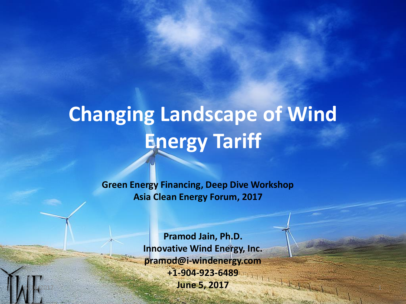# **Changing Landscape of Wind Energy Tariff**

**Green Energy Financing, Deep Dive Workshop Asia Clean Energy Forum, 2017**

**Pramod Jain, Ph.D. Innovative Wind Energy, Inc. pramod@i-windenergy.com +1-904-923-6489 June 5, 2017**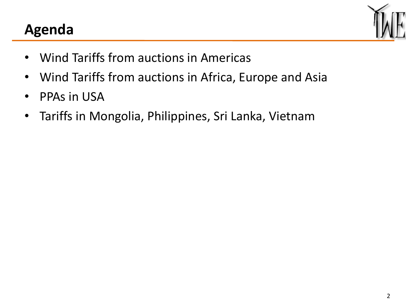### **Agenda**



- Wind Tariffs from auctions in Americas
- Wind Tariffs from auctions in Africa, Europe and Asia
- PPAs in USA
- Tariffs in Mongolia, Philippines, Sri Lanka, Vietnam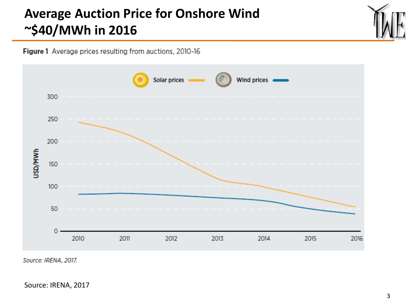#### **Average Auction Price for Onshore Wind ~\$40/MWh in 2016**



Figure 1 Average prices resulting from auctions, 2010-16



Source: IRENA, 2017.

Source: IRENA, 2017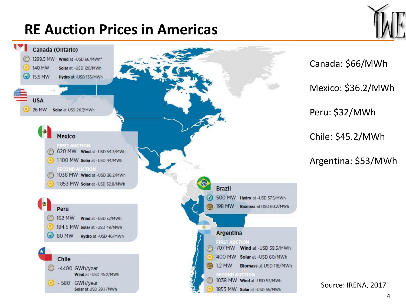# **RE Auction Prices in Americas**



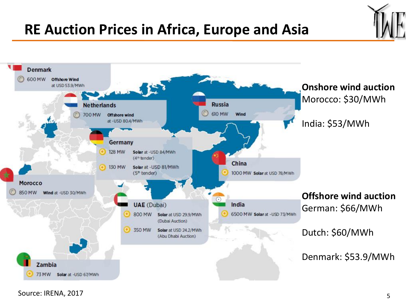#### **RE Auction Prices in Africa, Europe and Asia**

![](_page_4_Figure_1.jpeg)

Source: IRENA, 2017 5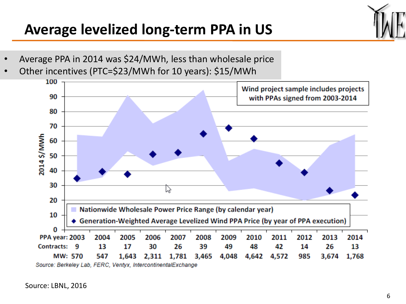#### **Average levelized long-term PPA in US**

![](_page_5_Picture_1.jpeg)

- Average PPA in 2014 was \$24/MWh, less than wholesale price
- Other incentives (PTC=\$23/MWh for 10 years): \$15/MWh

![](_page_5_Figure_4.jpeg)

Source: Berkeley Lab, FERC, Ventyx, IntercontinentalExchange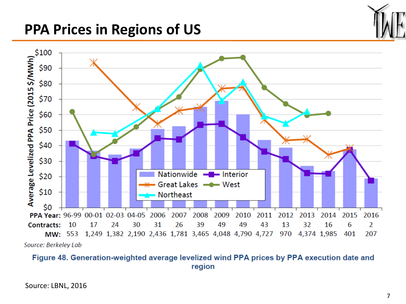### **PPA Prices in Regions of US**

![](_page_6_Figure_1.jpeg)

#### Figure 48. Generation-weighted average levelized wind PPA prices by PPA execution date and region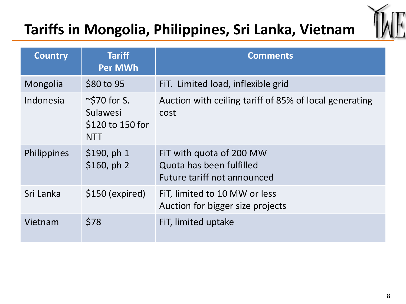# **Tariffs in Mongolia, Philippines, Sri Lanka, Vietnam**

![](_page_7_Picture_1.jpeg)

| <b>Country</b> | <b>Tariff</b><br><b>Per MWh</b>                                  | <b>Comments</b>                                                                     |
|----------------|------------------------------------------------------------------|-------------------------------------------------------------------------------------|
| Mongolia       | \$80 to 95                                                       | FIT. Limited load, inflexible grid                                                  |
| Indonesia      | $\sim$ \$70 for S.<br>Sulawesi<br>\$120 to 150 for<br><b>NTT</b> | Auction with ceiling tariff of 85% of local generating<br>cost                      |
| Philippines    | \$190, ph1<br>\$160, ph 2                                        | FiT with quota of 200 MW<br>Quota has been fulfilled<br>Future tariff not announced |
| Sri Lanka      | \$150 (expired)                                                  | FIT, limited to 10 MW or less<br>Auction for bigger size projects                   |
| Vietnam        | \$78                                                             | FiT, limited uptake                                                                 |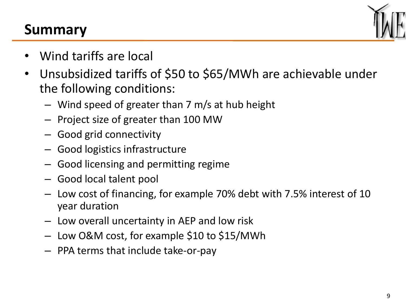### **Summary**

![](_page_8_Picture_1.jpeg)

- Wind tariffs are local
- Unsubsidized tariffs of \$50 to \$65/MWh are achievable under the following conditions:
	- Wind speed of greater than 7 m/s at hub height
	- Project size of greater than 100 MW
	- Good grid connectivity
	- Good logistics infrastructure
	- Good licensing and permitting regime
	- Good local talent pool
	- Low cost of financing, for example 70% debt with 7.5% interest of 10 year duration
	- Low overall uncertainty in AEP and low risk
	- Low O&M cost, for example \$10 to \$15/MWh
	- PPA terms that include take-or-pay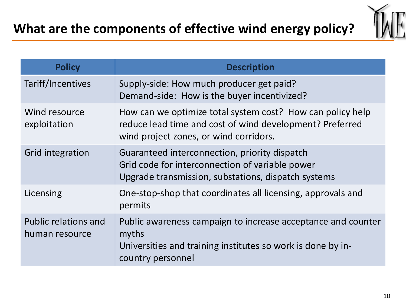![](_page_9_Picture_1.jpeg)

| <b>Policy</b>                                 | <b>Description</b>                                                                                                                                               |
|-----------------------------------------------|------------------------------------------------------------------------------------------------------------------------------------------------------------------|
| Tariff/Incentives                             | Supply-side: How much producer get paid?<br>Demand-side: How is the buyer incentivized?                                                                          |
| Wind resource<br>exploitation                 | How can we optimize total system cost? How can policy help<br>reduce lead time and cost of wind development? Preferred<br>wind project zones, or wind corridors. |
| Grid integration                              | Guaranteed interconnection, priority dispatch<br>Grid code for interconnection of variable power<br>Upgrade transmission, substations, dispatch systems          |
| Licensing                                     | One-stop-shop that coordinates all licensing, approvals and<br>permits                                                                                           |
| <b>Public relations and</b><br>human resource | Public awareness campaign to increase acceptance and counter<br>myths<br>Universities and training institutes so work is done by in-<br>country personnel        |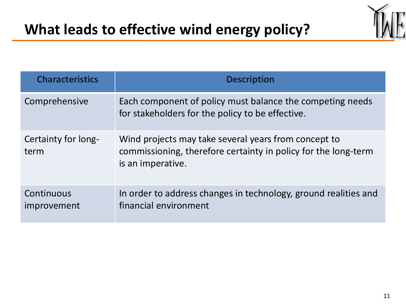![](_page_10_Picture_1.jpeg)

| <b>Characteristics</b>      | <b>Description</b>                                                                                                                          |
|-----------------------------|---------------------------------------------------------------------------------------------------------------------------------------------|
| Comprehensive               | Each component of policy must balance the competing needs<br>for stakeholders for the policy to be effective.                               |
| Certainty for long-<br>term | Wind projects may take several years from concept to<br>commissioning, therefore certainty in policy for the long-term<br>is an imperative. |
| Continuous<br>improvement   | In order to address changes in technology, ground realities and<br>financial environment                                                    |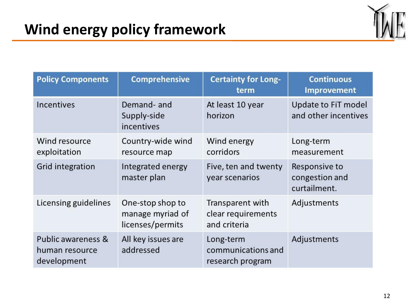![](_page_11_Picture_1.jpeg)

| <b>Policy Components</b>                            | <b>Comprehensive</b>                                     | <b>Certainty for Long-</b><br>term                     | <b>Continuous</b><br><b>Improvement</b>         |
|-----------------------------------------------------|----------------------------------------------------------|--------------------------------------------------------|-------------------------------------------------|
| <b>Incentives</b>                                   | Demand- and<br>Supply-side<br>incentives                 | At least 10 year<br>horizon                            | Update to FiT model<br>and other incentives     |
| Wind resource<br>exploitation                       | Country-wide wind<br>resource map                        | Wind energy<br>corridors                               | Long-term<br>measurement                        |
| Grid integration                                    | Integrated energy<br>master plan                         | Five, ten and twenty<br>year scenarios                 | Responsive to<br>congestion and<br>curtailment. |
| Licensing guidelines                                | One-stop shop to<br>manage myriad of<br>licenses/permits | Transparent with<br>clear requirements<br>and criteria | Adjustments                                     |
| Public awareness &<br>human resource<br>development | All key issues are<br>addressed                          | Long-term<br>communications and<br>research program    | Adjustments                                     |